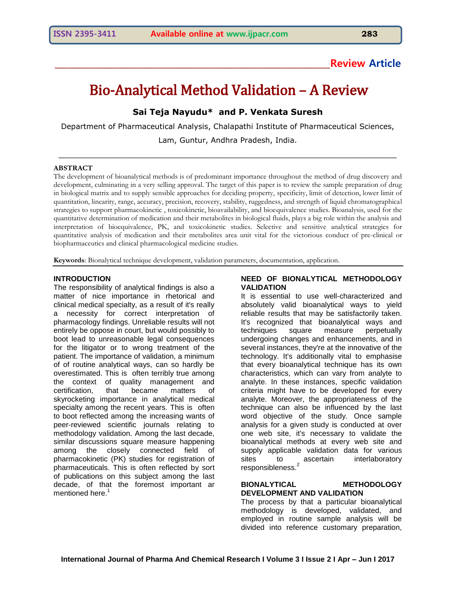## **\_\_\_\_\_\_\_\_\_\_\_\_\_\_\_\_\_\_\_\_\_\_\_\_\_\_\_\_\_\_\_\_\_\_\_\_\_\_\_\_\_\_\_\_\_\_\_\_\_\_\_\_\_\_\_\_\_\_\_\_\_\_Review Article**

# Bio-Analytical Method Validation – A Review

## **Sai Teja Nayudu\* and P. Venkata Suresh**

Department of Pharmaceutical Analysis, Chalapathi Institute of Pharmaceutical Sciences,

Lam, Guntur, Andhra Pradesh, India.  $\_$  , and the contribution of the contribution of  $\mathcal{L}_\mathcal{A}$  , and the contribution of  $\mathcal{L}_\mathcal{A}$ 

## **ABSTRACT**

The development of bioanalytical methods is of predominant importance throughout the method of drug discovery and development, culminating in a very selling approval. The target of this paper is to review the sample preparation of drug in biological matrix and to supply sensible approaches for deciding property, specificity, limit of detection, lower limit of quantitation, linearity, range, accuracy, precision, recovery, stability, ruggedness, and strength of liquid chromatographical strategies to support pharmacokinetic , toxicokinetic, bioavailability, and bioequivalence studies. Bioanalysis, used for the quantitative determination of medication and their metabolites in biological fluids, plays a big role within the analysis and interpretation of bioequivalence, PK, and toxicokinetic studies. Selective and sensitive analytical strategies for quantitative analysis of medication and their metabolites area unit vital for the victorious conduct of pre-clinical or biopharmaceutics and clinical pharmacological medicine studies.

**Keywords**: Bionalytical technique development, validation parameters, documentation, application.

## **INTRODUCTION**

The responsibility of analytical findings is also a matter of nice importance in rhetorical and clinical medical specialty, as a result of it's really a necessity for correct interpretation of pharmacology findings. Unreliable results will not entirely be oppose in court, but would possibly to boot lead to unreasonable legal consequences for the litigator or to wrong treatment of the patient. The importance of validation, a minimum of of routine analytical ways, can so hardly be overestimated. This is often terribly true among the context of quality management and certification, that became matters of skyrocketing importance in analytical medical specialty among the recent years. This is often to boot reflected among the increasing wants of peer-reviewed scientific journals relating to methodology validation. Among the last decade, similar discussions square measure happening among the closely connected field of pharmacokinetic (PK) studies for registration of pharmaceuticals. This is often reflected by sort of publications on this subject among the last decade, of that the foremost important ar mentioned here.<sup>1</sup>

## **NEED OF BIONALYTICAL METHODOLOGY VALIDATION**

It is essential to use well-characterized and absolutely valid bioanalytical ways to yield reliable results that may be satisfactorily taken. It's recognized that bioanalytical ways and techniques square measure perpetually undergoing changes and enhancements, and in several instances, they're at the innovative of the technology. It's additionally vital to emphasise that every bioanalytical technique has its own characteristics, which can vary from analyte to analyte. In these instances, specific validation criteria might have to be developed for every analyte. Moreover, the appropriateness of the technique can also be influenced by the last word objective of the study. Once sample analysis for a given study is conducted at over one web site, it's necessary to validate the bioanalytical methods at every web site and supply applicable validation data for various<br>sites to ascertain interlaboratory sites to ascertain interlaboratory responsibleness.<sup>2</sup>

## **BIONALYTICAL METHODOLOGY DEVELOPMENT AND VALIDATION**

The process by that a particular bioanalytical methodology is developed, validated, and employed in routine sample analysis will be divided into reference customary preparation,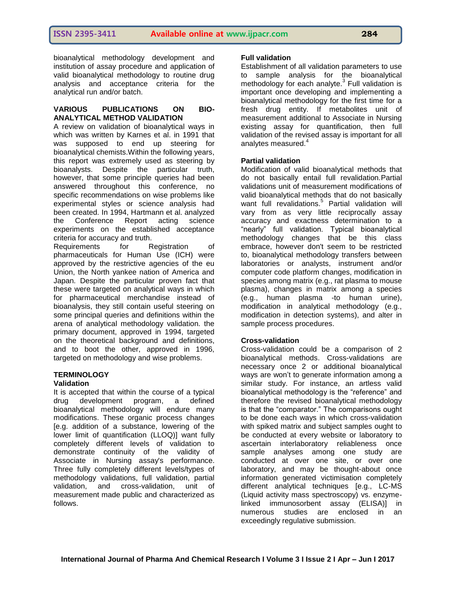bioanalytical methodology development and institution of assay procedure and application of valid bioanalytical methodology to routine drug analysis and acceptance criteria for the analytical run and/or batch.

## **VARIOUS PUBLICATIONS ON BIO-ANALYTICAL METHOD VALIDATION**

A review on validation of bioanalytical ways in which was written by Karnes et al. in 1991 that was supposed to end up steering for bioanalytical chemists.Within the following years, this report was extremely used as steering by bioanalysts. Despite the particular truth, however, that some principle queries had been answered throughout this conference, no specific recommendations on wise problems like experimental styles or science analysis had been created. In 1994, Hartmann et al. analyzed the Conference Report acting science experiments on the established acceptance criteria for accuracy and truth.

Requirements for Registration of pharmaceuticals for Human Use (ICH) were approved by the restrictive agencies of the eu Union, the North yankee nation of America and Japan. Despite the particular proven fact that these were targeted on analytical ways in which for pharmaceutical merchandise instead of bioanalysis, they still contain useful steering on some principal queries and definitions within the arena of analytical methodology validation. the primary document, approved in 1994, targeted on the theoretical background and definitions, and to boot the other, approved in 1996, targeted on methodology and wise problems.

#### **TERMINOLOGY Validation**

It is accepted that within the course of a typical drug development program, a defined bioanalytical methodology will endure many modifications. These organic process changes [e.g. addition of a substance, lowering of the lower limit of quantification (LLOQ)] want fully completely different levels of validation to demonstrate continuity of the validity of Associate in Nursing assay's performance. Three fully completely different levels/types of methodology validations, full validation, partial validation, and cross-validation, unit of measurement made public and characterized as follows.

## **Full validation**

Establishment of all validation parameters to use to sample analysis for the bioanalytical methodology for each analyte. $3$  Full validation is important once developing and implementing a bioanalytical methodology for the first time for a fresh drug entity. If metabolites unit of measurement additional to Associate in Nursing existing assay for quantification, then full validation of the revised assay is important for all analytes measured.<sup>4</sup>

## **Partial validation**

Modification of valid bioanalytical methods that do not basically entail full revalidation.Partial validations unit of measurement modifications of valid bioanalytical methods that do not basically want full revalidations.<sup>5</sup> Partial validation will vary from as very little reciprocally assay accuracy and exactness determination to a "nearly" full validation. Typical bioanalytical methodology changes that be this class embrace, however don't seem to be restricted to, bioanalytical methodology transfers between laboratories or analysts, instrument and/or computer code platform changes, modification in species among matrix (e.g., rat plasma to mouse plasma), changes in matrix among a species (e.g., human plasma -to human urine), modification in analytical methodology (e.g., modification in detection systems), and alter in sample process procedures.

## **Cross-validation**

Cross-validation could be a comparison of 2 bioanalytical methods. Cross-validations are necessary once 2 or additional bioanalytical ways are won't to generate information among a similar study. For instance, an artless valid bioanalytical methodology is the "reference" and therefore the revised bioanalytical methodology is that the "comparator." The comparisons ought to be done each ways in which cross-validation with spiked matrix and subject samples ought to be conducted at every website or laboratory to ascertain interlaboratory reliableness once sample analyses among one study are conducted at over one site, or over one laboratory, and may be thought-about once information generated victimisation completely different analytical techniques [e.g., LC-MS (Liquid activity mass spectroscopy) vs. enzymelinked immunosorbent assay (ELISA)] in numerous studies are enclosed in an exceedingly regulative submission.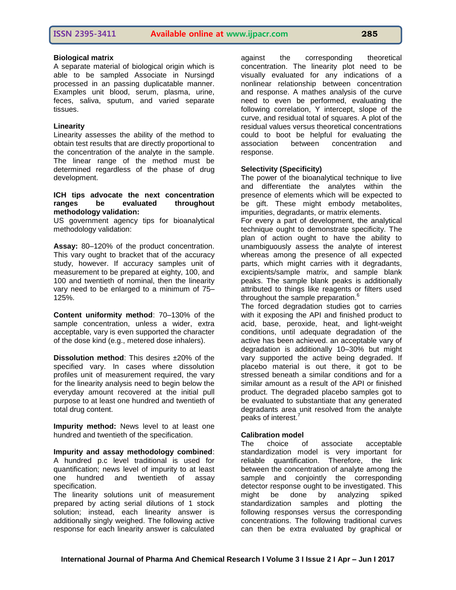## **Biological matrix**

A separate material of biological origin which is able to be sampled Associate in Nursingd processed in an passing duplicatable manner. Examples unit blood, serum, plasma, urine, feces, saliva, sputum, and varied separate tissues.

## **Linearity**

Linearity assesses the ability of the method to obtain test results that are directly proportional to the concentration of the analyte in the sample. The linear range of the method must be determined regardless of the phase of drug development.

#### **ICH tips advocate the next concentration ranges be evaluated throughout methodology validation:**

US government agency tips for bioanalytical methodology validation:

**Assay:** 80–120% of the product concentration. This vary ought to bracket that of the accuracy study, however. If accuracy samples unit of measurement to be prepared at eighty, 100, and 100 and twentieth of nominal, then the linearity vary need to be enlarged to a minimum of 75– 125%.

**Content uniformity method**: 70–130% of the sample concentration, unless a wider, extra acceptable, vary is even supported the character of the dose kind (e.g., metered dose inhalers).

**Dissolution method:** This desires  $\pm 20\%$  of the specified vary. In cases where dissolution profiles unit of measurement required, the vary for the linearity analysis need to begin below the everyday amount recovered at the initial pull purpose to at least one hundred and twentieth of total drug content.

**Impurity method:** News level to at least one hundred and twentieth of the specification.

**Impurity and assay methodology combined**: A hundred p.c level traditional is used for quantification; news level of impurity to at least one hundred and twentieth of assay specification.

The linearity solutions unit of measurement prepared by acting serial dilutions of 1 stock solution; instead, each linearity answer is additionally singly weighed. The following active response for each linearity answer is calculated

against the corresponding theoretical concentration. The linearity plot need to be visually evaluated for any indications of a nonlinear relationship between concentration and response. A mathes analysis of the curve need to even be performed, evaluating the following correlation, Y intercept, slope of the curve, and residual total of squares. A plot of the residual values versus theoretical concentrations could to boot be helpful for evaluating the association between concentration and response.

## **Selectivity (Specificity)**

The power of the bioanalytical technique to live and differentiate the analytes within the presence of elements which will be expected to be gift. These might embody metabolites, impurities, degradants, or matrix elements.

For every a part of development, the analytical technique ought to demonstrate specificity. The plan of action ought to have the ability to unambiguously assess the analyte of interest whereas among the presence of all expected parts, which might carries with it degradants, excipients/sample matrix, and sample blank peaks. The sample blank peaks is additionally attributed to things like reagents or filters used throughout the sample preparation.<sup>6</sup>

The forced degradation studies got to carries with it exposing the API and finished product to acid, base, peroxide, heat, and light-weight conditions, until adequate degradation of the active has been achieved. an acceptable vary of degradation is additionally 10–30% but might vary supported the active being degraded. If placebo material is out there, it got to be stressed beneath a similar conditions and for a similar amount as a result of the API or finished product. The degraded placebo samples got to be evaluated to substantiate that any generated degradants area unit resolved from the analyte peaks of interest.<sup>7</sup>

## **Calibration model**

The choice of associate acceptable standardization model is very important for reliable quantification. Therefore, the link between the concentration of analyte among the sample and conjointly the corresponding detector response ought to be investigated. This might be done by analyzing spiked standardization samples and plotting the following responses versus the corresponding concentrations. The following traditional curves can then be extra evaluated by graphical or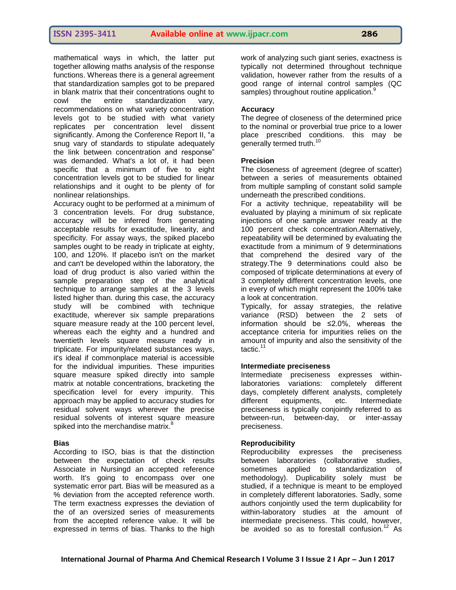mathematical ways in which, the latter put together allowing maths analysis of the response functions. Whereas there is a general agreement that standardization samples got to be prepared in blank matrix that their concentrations ought to cowl the entire standardization vary, recommendations on what variety concentration levels got to be studied with what variety replicates per concentration level dissent significantly. Among the Conference Report II, "a snug vary of standards to stipulate adequately the link between concentration and response" was demanded. What's a lot of, it had been specific that a minimum of five to eight concentration levels got to be studied for linear relationships and it ought to be plenty of for nonlinear relationships.

Accuracy ought to be performed at a minimum of 3 concentration levels. For drug substance, accuracy will be inferred from generating acceptable results for exactitude, linearity, and specificity. For assay ways, the spiked placebo samples ought to be ready in triplicate at eighty, 100, and 120%. If placebo isn't on the market and can't be developed within the laboratory, the load of drug product is also varied within the sample preparation step of the analytical technique to arrange samples at the 3 levels listed higher than. during this case, the accuracy study will be combined with technique exactitude, wherever six sample preparations square measure ready at the 100 percent level, whereas each the eighty and a hundred and twentieth levels square measure ready in triplicate. For impurity/related substances ways, it's ideal if commonplace material is accessible for the individual impurities. These impurities square measure spiked directly into sample matrix at notable concentrations, bracketing the specification level for every impurity. This approach may be applied to accuracy studies for residual solvent ways wherever the precise residual solvents of interest square measure spiked into the merchandise matrix.<sup>8</sup>

## **Bias**

According to ISO, bias is that the distinction between the expectation of check results Associate in Nursingd an accepted reference worth. It's going to encompass over one systematic error part. Bias will be measured as a % deviation from the accepted reference worth. The term exactness expresses the deviation of the of an oversized series of measurements from the accepted reference value. It will be expressed in terms of bias. Thanks to the high

work of analyzing such giant series, exactness is typically not determined throughout technique validation, however rather from the results of a good range of internal control samples (QC samples) throughout routine application.<sup>9</sup>

## **Accuracy**

The degree of closeness of the determined price to the nominal or proverbial true price to a lower place prescribed conditions. this may be generally termed truth.<sup>10</sup>

## **Precision**

The closeness of agreement (degree of scatter) between a series of measurements obtained from multiple sampling of constant solid sample underneath the prescribed conditions.

For a activity technique, repeatability will be evaluated by playing a minimum of six replicate injections of one sample answer ready at the 100 percent check concentration.Alternatively, repeatability will be determined by evaluating the exactitude from a minimum of 9 determinations that comprehend the desired vary of the strategy.The 9 determinations could also be composed of triplicate determinations at every of 3 completely different concentration levels, one in every of which might represent the 100% take a look at concentration.

Typically, for assay strategies, the relative variance (RSD) between the 2 sets of information should be ≤2.0%, whereas the acceptance criteria for impurities relies on the amount of impurity and also the sensitivity of the tactic.<sup>11</sup>

## **Intermediate preciseness**

Intermediate preciseness expresses withinlaboratories variations: completely different days, completely different analysts, completely different equipments, etc. Intermediate preciseness is typically conjointly referred to as between-run, between-day, or inter-assay preciseness.

## **Reproducibility**

Reproducibility expresses the preciseness between laboratories (collaborative studies, sometimes applied to standardization of methodology). Duplicability solely must be studied, if a technique is meant to be employed in completely different laboratories. Sadly, some authors conjointly used the term duplicability for within-laboratory studies at the amount of intermediate preciseness. This could, however, be avoided so as to forestall confusion.<sup>12</sup> As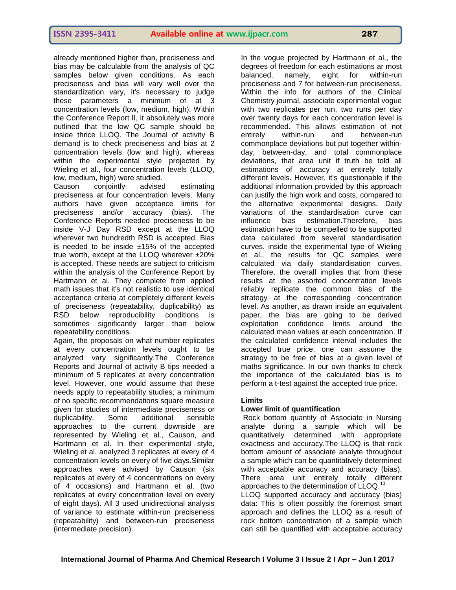already mentioned higher than, preciseness and bias may be calculable from the analysis of QC samples below given conditions. As each preciseness and bias will vary well over the standardization vary, it's necessary to judge these parameters a minimum of at 3 concentration levels (low, medium, high). Within the Conference Report II, it absolutely was more outlined that the low QC sample should be inside thrice LLOQ. The Journal of activity B demand is to check preciseness and bias at 2 concentration levels (low and high), whereas within the experimental style projected by Wieling et al., four concentration levels (LLOQ, low, medium, high) were studied.

Causon conjointly advised estimating preciseness at four concentration levels. Many authors have given acceptance limits for preciseness and/or accuracy (bias). The Conference Reports needed preciseness to be inside V-J Day RSD except at the LLOQ wherever two hundredth RSD is accepted. Bias is needed to be inside  $±15%$  of the accepted true worth, except at the LLOQ wherever ±20% is accepted. These needs are subject to criticism within the analysis of the Conference Report by Hartmann et al. They complete from applied math issues that it's not realistic to use identical acceptance criteria at completely different levels of preciseness (repeatability, duplicability) as RSD below reproducibility conditions is sometimes significantly larger than below repeatability conditions.

Again, the proposals on what number replicates at every concentration levels ought to be analyzed vary significantly.The Conference Reports and Journal of activity B tips needed a minimum of 5 replicates at every concentration level. However, one would assume that these needs apply to repeatability studies; a minimum of no specific recommendations square measure given for studies of intermediate preciseness or duplicability. Some additional sensible approaches to the current downside are represented by Wieling et al., Causon, and Hartmann et al. In their experimental style, Wieling et al. analyzed 3 replicates at every of 4 concentration levels on every of five days.Similar approaches were advised by Causon (six replicates at every of 4 concentrations on every of 4 occasions) and Hartmann et al. (two replicates at every concentration level on every of eight days). All 3 used unidirectional analysis of variance to estimate within-run preciseness (repeatability) and between-run preciseness (intermediate precision).

In the vogue projected by Hartmann et al., the degrees of freedom for each estimations ar most balanced, namely, eight for within-run preciseness and 7 for between-run preciseness. Within the info for authors of the Clinical Chemistry journal, associate experimental vogue with two replicates per run, two runs per day over twenty days for each concentration level is recommended. This allows estimation of not entirely within-run and between-run commonplace deviations but put together withinday, between-day, and total commonplace deviations, that area unit if truth be told all estimations of accuracy at entirely totally different levels. However, it's questionable if the additional information provided by this approach can justify the high work and costs, compared to the alternative experimental designs. Daily variations of the standardisation curve can influence bias estimation.Therefore, bias estimation have to be compelled to be supported data calculated from several standardisation curves. inside the experimental type of Wieling et al., the results for QC samples were calculated via daily standardisation curves. Therefore, the overall implies that from these results at the assorted concentration levels reliably replicate the common bias of the strategy at the corresponding concentration level. As another, as drawn inside an equivalent paper, the bias are going to be derived exploitation confidence limits around the calculated mean values at each concentration. If the calculated confidence interval includes the accepted true price, one can assume the strategy to be free of bias at a given level of maths significance. In our own thanks to check the importance of the calculated bias is to perform a t-test against the accepted true price.

#### **Limits**

## **Lower limit of quantification**

Rock bottom quantity of Associate in Nursing analyte during a sample which will be quantitatively determined with appropriate exactness and accuracy.The LLOQ is that rock bottom amount of associate analyte throughout a sample which can be quantitatively determined with acceptable accuracy and accuracy (bias). There area unit entirely totally different approaches to the determination of LLOQ.<sup>13</sup> LLOQ supported accuracy and accuracy (bias)

data: This is often possibly the foremost smart approach and defines the LLOQ as a result of rock bottom concentration of a sample which can still be quantified with acceptable accuracy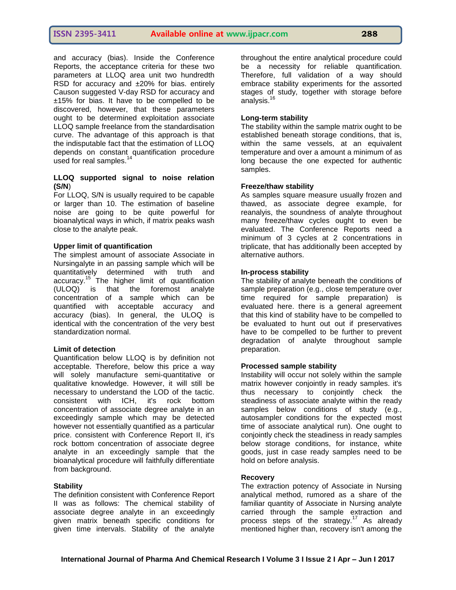and accuracy (bias). Inside the Conference Reports, the acceptance criteria for these two parameters at LLOQ area unit two hundredth RSD for accuracy and ±20% for bias. entirely Causon suggested V-day RSD for accuracy and ±15% for bias. It have to be compelled to be discovered, however, that these parameters ought to be determined exploitation associate LLOQ sample freelance from the standardisation curve. The advantage of this approach is that the indisputable fact that the estimation of LLOQ depends on constant quantification procedure used for real samples.<sup>14</sup>

## **LLOQ supported signal to noise relation (S/N**)

For LLOQ, S/N is usually required to be capable or larger than 10. The estimation of baseline noise are going to be quite powerful for bioanalytical ways in which, if matrix peaks wash close to the analyte peak.

#### **Upper limit of quantification**

The simplest amount of associate Associate in Nursingalyte in an passing sample which will be quantitatively determined with truth and accuracy.<sup>15</sup> The higher limit of quantification (ULOQ) is that the foremost analyte concentration of a sample which can be quantified with acceptable accuracy and accuracy (bias). In general, the ULOQ is identical with the concentration of the very best standardization normal.

## **Limit of detection**

Quantification below LLOQ is by definition not acceptable. Therefore, below this price a way will solely manufacture semi-quantitative or qualitative knowledge. However, it will still be necessary to understand the LOD of the tactic. consistent with ICH, it's rock bottom concentration of associate degree analyte in an exceedingly sample which may be detected however not essentially quantified as a particular price. consistent with Conference Report II, it's rock bottom concentration of associate degree analyte in an exceedingly sample that the bioanalytical procedure will faithfully differentiate from background.

#### **Stability**

The definition consistent with Conference Report II was as follows: The chemical stability of associate degree analyte in an exceedingly given matrix beneath specific conditions for given time intervals. Stability of the analyte

throughout the entire analytical procedure could be a necessity for reliable quantification. Therefore, full validation of a way should embrace stability experiments for the assorted stages of study, together with storage before analysis. $<sup>1</sup>$ </sup>

#### **Long-term stability**

The stability within the sample matrix ought to be established beneath storage conditions, that is, within the same vessels, at an equivalent temperature and over a amount a minimum of as long because the one expected for authentic samples.

#### **Freeze/thaw stability**

As samples square measure usually frozen and thawed, as associate degree example, for reanalyis, the soundness of analyte throughout many freeze/thaw cycles ought to even be evaluated. The Conference Reports need a minimum of 3 cycles at 2 concentrations in triplicate, that has additionally been accepted by alternative authors.

#### **In-process stability**

The stability of analyte beneath the conditions of sample preparation (e.g., close temperature over time required for sample preparation) is evaluated here. there is a general agreement that this kind of stability have to be compelled to be evaluated to hunt out out if preservatives have to be compelled to be further to prevent degradation of analyte throughout sample preparation.

#### **Processed sample stability**

Instability will occur not solely within the sample matrix however conjointly in ready samples. it's thus necessary to conjointly check the steadiness of associate analyte within the ready samples below conditions of study (e.g., autosampler conditions for the expected most time of associate analytical run). One ought to conjointly check the steadiness in ready samples below storage conditions, for instance, white goods, just in case ready samples need to be hold on before analysis.

#### **Recovery**

The extraction potency of Associate in Nursing analytical method, rumored as a share of the familiar quantity of Associate in Nursing analyte carried through the sample extraction and process steps of the strategy.<sup>17</sup> As already mentioned higher than, recovery isn't among the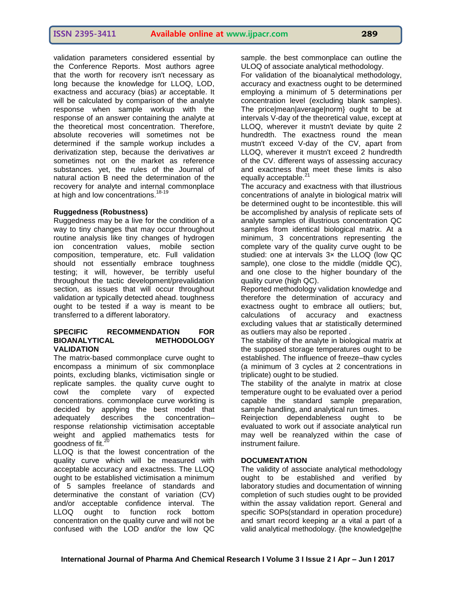validation parameters considered essential by the Conference Reports. Most authors agree that the worth for recovery isn't necessary as long because the knowledge for LLOQ, LOD, exactness and accuracy (bias) ar acceptable. It will be calculated by comparison of the analyte response when sample workup with the response of an answer containing the analyte at the theoretical most concentration. Therefore, absolute recoveries will sometimes not be determined if the sample workup includes a derivatization step, because the derivatives ar sometimes not on the market as reference substances. yet, the rules of the Journal of natural action B need the determination of the recovery for analyte and internal commonplace at high and low concentrations.<sup>18-19</sup>

## **Ruggedness (Robustness)**

Ruggedness may be a live for the condition of a way to tiny changes that may occur throughout routine analysis like tiny changes of hydrogen ion concentration values, mobile section composition, temperature, etc. Full validation should not essentially embrace toughness testing; it will, however, be terribly useful throughout the tactic development/prevalidation section, as issues that will occur throughout validation ar typically detected ahead. toughness ought to be tested if a way is meant to be transferred to a different laboratory.

## **SPECIFIC RECOMMENDATION FOR BIOANALYTICAL METHODOLOGY VALIDATION**

The matrix-based commonplace curve ought to encompass a minimum of six commonplace points, excluding blanks, victimisation single or replicate samples. the quality curve ought to cowl the complete vary of expected concentrations. commonplace curve workting is decided by applying the best model that adequately describes the concentration– response relationship victimisation acceptable weight and applied mathematics tests for goodness of fit. $^{20}$ 

LLOQ is that the lowest concentration of the quality curve which will be measured with acceptable accuracy and exactness. The LLOQ ought to be established victimisation a minimum of 5 samples freelance of standards and determinative the constant of variation (CV) and/or acceptable confidence interval. The LLOQ ought to function rock bottom concentration on the quality curve and will not be confused with the LOD and/or the low QC

sample. the best commonplace can outline the ULOQ of associate analytical methodology.

For validation of the bioanalytical methodology, accuracy and exactness ought to be determined employing a minimum of 5 determinations per concentration level (excluding blank samples). The price|mean|average|norm} ought to be at intervals V-day of the theoretical value, except at LLOQ, wherever it mustn't deviate by quite 2 hundredth. The exactness round the mean mustn't exceed V-day of the CV, apart from LLOQ, wherever it mustn't exceed 2 hundredth of the CV. different ways of assessing accuracy and exactness that meet these limits is also equally acceptable.<sup>2</sup>

The accuracy and exactness with that illustrious concentrations of analyte in biological matrix will be determined ought to be incontestible. this will be accomplished by analysis of replicate sets of analyte samples of illustrious concentration QC samples from identical biological matrix. At a minimum, 3 concentrations representing the complete vary of the quality curve ought to be studied: one at intervals 3x the LLOQ (low QC sample), one close to the middle (middle QC), and one close to the higher boundary of the quality curve (high QC).

Reported methodology validation knowledge and therefore the determination of accuracy and exactness ought to embrace all outliers; but, calculations of accuracy and exactness excluding values that ar statistically determined as outliers may also be reported .

The stability of the analyte in biological matrix at the supposed storage temperatures ought to be established. The influence of freeze–thaw cycles (a minimum of 3 cycles at 2 concentrations in triplicate) ought to be studied.

The stability of the analyte in matrix at close temperature ought to be evaluated over a period capable the standard sample preparation, sample handling, and analytical run times.

Reinjection dependableness ought to be evaluated to work out if associate analytical run may well be reanalyzed within the case of instrument failure.

## **DOCUMENTATION**

The validity of associate analytical methodology ought to be established and verified by laboratory studies and documentation of winning completion of such studies ought to be provided within the assay validation report. General and specific SOPs(standard in operation procedure) and smart record keeping ar a vital a part of a valid analytical methodology. {the knowledge|the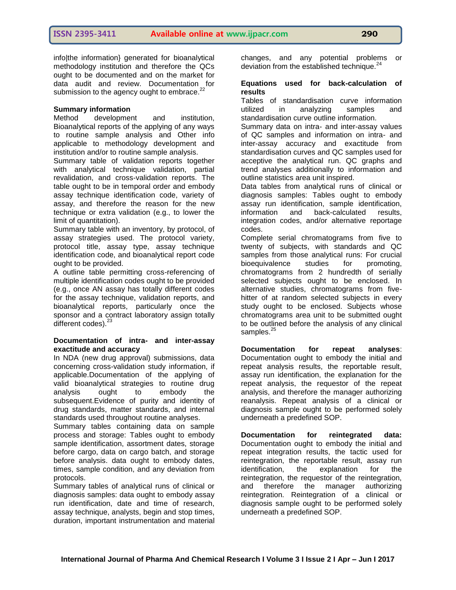info|the information} generated for bioanalytical methodology institution and therefore the QCs ought to be documented and on the market for data audit and review. Documentation for submission to the agency ought to embrace.<sup>22</sup>

## **Summary information**

Method development and institution, Bioanalytical reports of the applying of any ways to routine sample analysis and Other info applicable to methodology development and institution and/or to routine sample analysis.

Summary table of validation reports together with analytical technique validation, partial revalidation, and cross-validation reports. The table ought to be in temporal order and embody assay technique identification code, variety of assay, and therefore the reason for the new technique or extra validation (e.g., to lower the limit of quantitation).

Summary table with an inventory, by protocol, of assay strategies used. The protocol variety, protocol title, assay type, assay technique identification code, and bioanalytical report code ought to be provided.

A outline table permitting cross-referencing of multiple identification codes ought to be provided (e.g., once AN assay has totally different codes for the assay technique, validation reports, and bioanalytical reports, particularly once the sponsor and a contract laboratory assign totally different codes).<sup>23</sup>

## **Documentation of intra- and inter-assay exactitude and accuracy**

In NDA (new drug approval) submissions, data concerning cross-validation study information, if applicable.Documentation of the applying of valid bioanalytical strategies to routine drug analysis ought to embody the subsequent.Evidence of purity and identity of drug standards, matter standards, and internal standards used throughout routine analyses.

Summary tables containing data on sample process and storage: Tables ought to embody sample identification, assortment dates, storage before cargo, data on cargo batch, and storage before analysis. data ought to embody dates, times, sample condition, and any deviation from protocols.

Summary tables of analytical runs of clinical or diagnosis samples: data ought to embody assay run identification, date and time of research, assay technique, analysts, begin and stop times, duration, important instrumentation and material changes, and any potential problems or deviation from the established technique.<sup>24</sup>

## **Equations used for back-calculation of results**

Tables of standardisation curve information utilized in analyzing samples and standardisation curve outline information.

Summary data on intra- and inter-assay values of QC samples and information on intra- and inter-assay accuracy and exactitude from standardisation curves and QC samples used for acceptive the analytical run. QC graphs and trend analyses additionally to information and outline statistics area unit inspired.

Data tables from analytical runs of clinical or diagnosis samples: Tables ought to embody assay run identification, sample identification, information and back-calculated results, integration codes, and/or alternative reportage codes.

Complete serial chromatograms from five to twenty of subjects, with standards and QC samples from those analytical runs: For crucial bioequivalence studies for promoting, chromatograms from 2 hundredth of serially selected subjects ought to be enclosed. In alternative studies, chromatograms from fivehitter of at random selected subjects in every study ought to be enclosed. Subjects whose chromatograms area unit to be submitted ought to be outlined before the analysis of any clinical samples.<sup>25</sup>

**Documentation for repeat analyses**: Documentation ought to embody the initial and repeat analysis results, the reportable result, assay run identification, the explanation for the repeat analysis, the requestor of the repeat analysis, and therefore the manager authorizing reanalysis. Repeat analysis of a clinical or diagnosis sample ought to be performed solely underneath a predefined SOP.

**Documentation for reintegrated data:** Documentation ought to embody the initial and repeat integration results, the tactic used for reintegration, the reportable result, assay run identification, the explanation for the reintegration, the requestor of the reintegration, and therefore the manager authorizing reintegration. Reintegration of a clinical or diagnosis sample ought to be performed solely underneath a predefined SOP.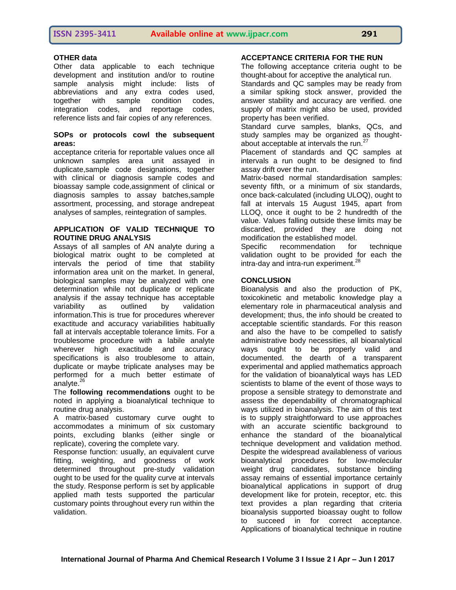## **OTHER data**

Other data applicable to each technique development and institution and/or to routine sample analysis might include: lists of abbreviations and any extra codes used, together with sample condition codes, integration codes, and reportage codes, reference lists and fair copies of any references.

## **SOPs or protocols cowl the subsequent areas:**

acceptance criteria for reportable values once all unknown samples area unit assayed in duplicate,sample code designations, together with clinical or diagnosis sample codes and bioassay sample code,assignment of clinical or diagnosis samples to assay batches,sample assortment, processing, and storage andrepeat analyses of samples, reintegration of samples.

## **APPLICATION OF VALID TECHNIQUE TO ROUTINE DRUG ANALYSIS**

Assays of all samples of AN analyte during a biological matrix ought to be completed at intervals the period of time that stability information area unit on the market. In general, biological samples may be analyzed with one determination while not duplicate or replicate analysis if the assay technique has acceptable variability as outlined by validation information.This is true for procedures wherever exactitude and accuracy variabilities habitually fall at intervals acceptable tolerance limits. For a troublesome procedure with a labile analyte wherever high exactitude and accuracy specifications is also troublesome to attain. duplicate or maybe triplicate analyses may be performed for a much better estimate of analyte. $^{26}$ 

The **following recommendations** ought to be noted in applying a bioanalytical technique to routine drug analysis.

A matrix-based customary curve ought to accommodates a minimum of six customary points, excluding blanks (either single or replicate), covering the complete vary.

Response function: usually, an equivalent curve fitting, weighting, and goodness of work determined throughout pre-study validation ought to be used for the quality curve at intervals the study. Response perform is set by applicable applied math tests supported the particular customary points throughout every run within the validation.

## **ACCEPTANCE CRITERIA FOR THE RUN**

The following acceptance criteria ought to be thought-about for acceptive the analytical run.

Standards and QC samples may be ready from a similar spiking stock answer, provided the answer stability and accuracy are verified. one supply of matrix might also be used, provided property has been verified.

Standard curve samples, blanks, QCs, and study samples may be organized as thoughtabout acceptable at intervals the run.<sup>27</sup>

Placement of standards and QC samples at intervals a run ought to be designed to find assay drift over the run.

Matrix-based normal standardisation samples: seventy fifth, or a minimum of six standards, once back-calculated (including ULOQ), ought to fall at intervals 15 August 1945, apart from LLOQ, once it ought to be 2 hundredth of the value. Values falling outside these limits may be discarded, provided they are doing not modification the established model.

Specific recommendation for technique validation ought to be provided for each the intra-day and intra-run experiment.<sup>28</sup>

## **CONCLUSION**

Bioanalysis and also the production of PK, toxicokinetic and metabolic knowledge play a elementary role in pharmaceutical analysis and development; thus, the info should be created to acceptable scientific standards. For this reason and also the have to be compelled to satisfy administrative body necessities, all bioanalytical ways ought to be properly valid and documented. the dearth of a transparent experimental and applied mathematics approach for the validation of bioanalytical ways has LED scientists to blame of the event of those ways to propose a sensible strategy to demonstrate and assess the dependability of chromatographical ways utilized in bioanalysis. The aim of this text is to supply straightforward to use approaches with an accurate scientific background to enhance the standard of the bioanalytical technique development and validation method. Despite the widespread availableness of various bioanalytical procedures for low-molecular weight drug candidates, substance binding assay remains of essential importance certainly bioanalytical applications in support of drug development like for protein, receptor, etc. this text provides a plan regarding that criteria bioanalysis supported bioassay ought to follow to succeed in for correct acceptance. Applications of bioanalytical technique in routine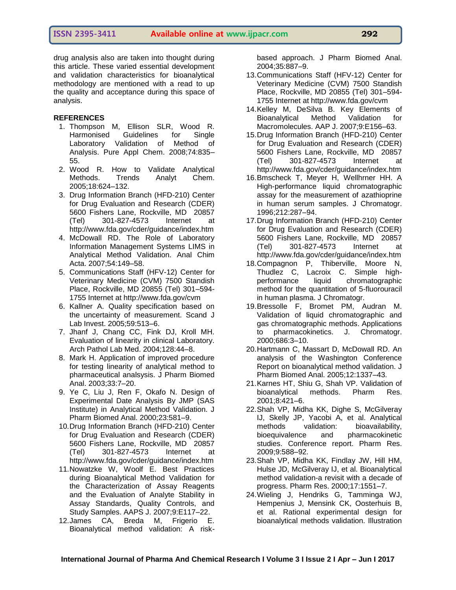## **ISSN 2395-3411 Available online at www.ijpacr.com 292**

drug analysis also are taken into thought during this article. These varied essential development and validation characteristics for bioanalytical methodology are mentioned with a read to up the quality and acceptance during this space of analysis.

#### **REFERENCES**

- 1. Thompson M, Ellison SLR, Wood R. Harmonised Guidelines for Single Laboratory Validation of Method of Analysis. Pure Appl Chem. 2008;74:835– 55.
- 2. Wood R. How to Validate Analytical Methods. Trends Analyt Chem. 2005;18:624–132.
- 3. Drug Information Branch (HFD-210) Center for Drug Evaluation and Research (CDER) 5600 Fishers Lane, Rockville, MD 20857 (Tel) 301-827-4573 Internet at http://www.fda.gov/cder/guidance/index.htm
- 4. McDowall RD. The Role of Laboratory Information Management Systems LIMS in Analytical Method Validation. Anal Chim Acta. 2007;54:149–58.
- 5. Communications Staff (HFV-12) Center for Veterinary Medicine (CVM) 7500 Standish Place, Rockville, MD 20855 (Tel) 301–594- 1755 Internet at http://www.fda.gov/cvm
- 6. Kallner A. Quality specification based on the uncertainty of measurement. Scand J Lab Invest. 2005;59:513–6.
- 7. Jhanf J, Chang CC, Fink DJ, Kroll MH. Evaluation of linearity in clinical Laboratory. Arch Pathol Lab Med. 2004;128:44–8.
- 8. Mark H. Application of improved procedure for testing linearity of analytical method to pharmaceutical analsysis. J Pharm Biomed Anal. 2003;33:7–20.
- 9. Ye C, Liu J, Ren F, Okafo N. Design of Experimental Date Analysis By JMP (SAS Institute) in Analytical Method Validation. J Pharm Biomed Anal. 2000;23:581–9.
- 10.Drug Information Branch (HFD-210) Center for Drug Evaluation and Research (CDER) 5600 Fishers Lane, Rockville, MD 20857 (Tel) 301-827-4573 Internet at http://www.fda.gov/cder/guidance/index.htm
- 11.Nowatzke W, Woolf E. Best Practices during Bioanalytical Method Validation for the Characterization of Assay Reagents and the Evaluation of Analyte Stability in Assay Standards, Quality Controls, and Study Samples. AAPS J. 2007;9:E117–22.
- 12.James CA, Breda M, Frigerio E. Bioanalytical method validation: A risk-

based approach. J Pharm Biomed Anal. 2004;35:887–9.

- 13.Communications Staff (HFV-12) Center for Veterinary Medicine (CVM) 7500 Standish Place, Rockville, MD 20855 (Tel) 301–594- 1755 Internet at http://www.fda.gov/cvm
- 14.Kelley M, DeSilva B. Key Elements of Bioanalytical Method Validation for Macromolecules. AAP J. 2007;9:E156–63.
- 15.Drug Information Branch (HFD-210) Center for Drug Evaluation and Research (CDER) 5600 Fishers Lane, Rockville, MD 20857 (Tel) 301-827-4573 Internet at http://www.fda.gov/cder/guidance/index.htm
- 16.Bmscheck T, Meyer H, Wellhrner HH. A High-performance liquid chromatographic assay for the measurement of azathioprine in human serum samples. J Chromatogr. 1996;212:287–94.
- 17.Drug Information Branch (HFD-210) Center for Drug Evaluation and Research (CDER) 5600 Fishers Lane, Rockville, MD 20857 (Tel) 301-827-4573 Internet at http://www.fda.gov/cder/guidance/index.htm
- 18.Compagnon P, Thiberville, Moore N, Thudlez C, Lacroix C. Simple highperformance liquid chromatographic method for the quantitation of 5-fluorouracil in human plasma. J Chromatogr.
- 19.Bressolle F, Bromet PM, Audran M. Validation of liquid chromatographic and gas chromatographic methods. Applications to pharmacokinetics. J. Chromatogr. 2000;686:3–10.
- 20.Hartmann C, Massart D, McDowall RD. An analysis of the Washington Conference Report on bioanalytical method validation. J Pharm Biomed Anal. 2005;12:1337–43.
- 21.Karnes HT, Shiu G, Shah VP. Validation of bioanalytical methods. Pharm Res. 2001;8:421–6.
- 22.Shah VP, Midha KK, Dighe S, McGilveray IJ, Skelly JP, Yacobi A, et al. Analytical methods validation: bioavailability, bioequivalence and pharmacokinetic studies. Conference report. Pharm Res. 2009;9:588–92.
- 23.Shah VP, Midha KK, Findlay JW, Hill HM, Hulse JD, McGilveray IJ, et al. Bioanalytical method validation-a revisit with a decade of progress. Pharm Res. 2000;17:1551–7.
- 24.Wieling J, Hendriks G, Tamminga WJ, Hempenius J, Mensink CK, Oosterhuis B, et al. Rational experimental design for bioanalytical methods validation. Illustration